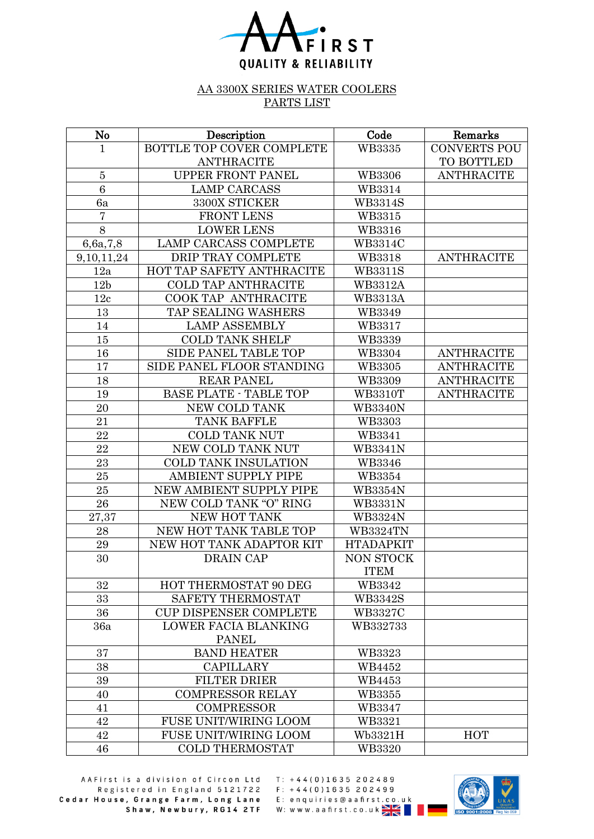

## AA 3300X SERIES WATER COOLERS PARTS LIST

| $\mathbf{N}\mathbf{o}$ | Description                   | Code             | Remarks             |
|------------------------|-------------------------------|------------------|---------------------|
| $\mathbf 1$            | BOTTLE TOP COVER COMPLETE     | <b>WB3335</b>    | <b>CONVERTS POU</b> |
|                        | <b>ANTHRACITE</b>             |                  | TO BOTTLED          |
| $\bf 5$                | <b>UPPER FRONT PANEL</b>      | <b>WB3306</b>    | <b>ANTHRACITE</b>   |
| 6                      | <b>LAMP CARCASS</b>           | WB3314           |                     |
| 6a                     | 3300X STICKER                 | <b>WB3314S</b>   |                     |
| $\overline{7}$         | <b>FRONT LENS</b>             | WB3315           |                     |
| 8                      | <b>LOWER LENS</b>             | WB3316           |                     |
| 6,6a,7,8               | <b>LAMP CARCASS COMPLETE</b>  | <b>WB3314C</b>   |                     |
| 9, 10, 11, 24          | DRIP TRAY COMPLETE            | WB3318           | <b>ANTHRACITE</b>   |
| 12a                    | HOT TAP SAFETY ANTHRACITE     | <b>WB3311S</b>   |                     |
| 12 <sub>b</sub>        | <b>COLD TAP ANTHRACITE</b>    | <b>WB3312A</b>   |                     |
| 12c                    | COOK TAP ANTHRACITE           | <b>WB3313A</b>   |                     |
| 13                     | TAP SEALING WASHERS           | WB3349           |                     |
| 14                     | <b>LAMP ASSEMBLY</b>          | WB3317           |                     |
| 15                     | <b>COLD TANK SHELF</b>        | WB3339           |                     |
| 16                     | SIDE PANEL TABLE TOP          | <b>WB3304</b>    | <b>ANTHRACITE</b>   |
| 17                     | SIDE PANEL FLOOR STANDING     | WB3305           | <b>ANTHRACITE</b>   |
| 18                     | <b>REAR PANEL</b>             | WB3309           | <b>ANTHRACITE</b>   |
| 19                     | <b>BASE PLATE - TABLE TOP</b> | <b>WB3310T</b>   | <b>ANTHRACITE</b>   |
| 20                     | <b>NEW COLD TANK</b>          | <b>WB3340N</b>   |                     |
| 21                     | <b>TANK BAFFLE</b>            | WB3303           |                     |
| 22                     | <b>COLD TANK NUT</b>          | WB3341           |                     |
| 22                     | NEW COLD TANK NUT             | <b>WB3341N</b>   |                     |
| 23                     | <b>COLD TANK INSULATION</b>   | WB3346           |                     |
| 25                     | <b>AMBIENT SUPPLY PIPE</b>    | WB3354           |                     |
| 25                     | NEW AMBIENT SUPPLY PIPE       | <b>WB3354N</b>   |                     |
| 26                     | NEW COLD TANK "O" RING        | <b>WB3331N</b>   |                     |
| 27,37                  | NEW HOT TANK                  | <b>WB3324N</b>   |                     |
| 28                     | NEW HOT TANK TABLE TOP        | <b>WB3324TN</b>  |                     |
| $\bf 29$               | NEW HOT TANK ADAPTOR KIT      | <b>HTADAPKIT</b> |                     |
| 30                     | <b>DRAIN CAP</b>              | NON STOCK        |                     |
|                        |                               | <b>ITEM</b>      |                     |
| 32                     | HOT THERMOSTAT 90 DEG         | WB3342           |                     |
| 33                     | SAFETY THERMOSTAT             | <b>WB3342S</b>   |                     |
| 36                     | <b>CUP DISPENSER COMPLETE</b> | <b>WB3327C</b>   |                     |
| 36a                    | <b>LOWER FACIA BLANKING</b>   | WB332733         |                     |
|                        | <b>PANEL</b>                  |                  |                     |
| 37                     | <b>BAND HEATER</b>            | WB3323           |                     |
| 38                     | <b>CAPILLARY</b>              | WB4452           |                     |
| 39                     | <b>FILTER DRIER</b>           | WB4453           |                     |
| 40                     | <b>COMPRESSOR RELAY</b>       | WB3355           |                     |
| 41                     | <b>COMPRESSOR</b>             | WB3347           |                     |
| 42                     | <b>FUSE UNIT/WIRING LOOM</b>  | WB3321           |                     |
| 42                     | <b>FUSE UNIT/WIRING LOOM</b>  | Wb3321H          | <b>HOT</b>          |
| 46                     | <b>COLD THERMOSTAT</b>        | WB3320           |                     |

AAFirst is a division of Circon Ltd Registered in England 5121722<br>House, Grange Farm, Long Lane E: enquiries@aafirst.co.uk<br>Shaw, Newbury, RG14 2TF W: www.aafirst.co.uk Cedar House, Grange Farm, Long Lane

 $T: +44(0)1635202489$ 

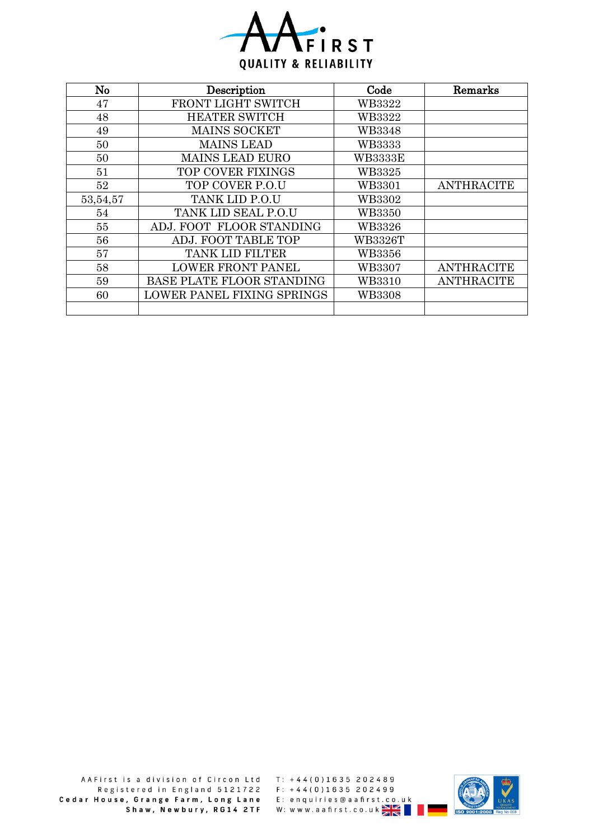

| No       | Description                | Code           | Remarks           |
|----------|----------------------------|----------------|-------------------|
| 47       | FRONT LIGHT SWITCH         | WB3322         |                   |
| 48       | <b>HEATER SWITCH</b>       | WB3322         |                   |
| 49       | <b>MAINS SOCKET</b>        | <b>WB3348</b>  |                   |
| 50       | <b>MAINS LEAD</b>          | <b>WB3333</b>  |                   |
| 50       | <b>MAINS LEAD EURO</b>     | <b>WB3333E</b> |                   |
| 51       | <b>TOP COVER FIXINGS</b>   | WB3325         |                   |
| 52       | TOP COVER P.O.U            | WB3301         | <b>ANTHRACITE</b> |
| 53,54,57 | TANK LID P.O.U             | WB3302         |                   |
| 54       | TANK LID SEAL P.O.U        | <b>WB3350</b>  |                   |
| 55       | ADJ. FOOT FLOOR STANDING   | WB3326         |                   |
| 56       | ADJ. FOOT TABLE TOP        | <b>WB3326T</b> |                   |
| 57       | <b>TANK LID FILTER</b>     | WB3356         |                   |
| 58       | <b>LOWER FRONT PANEL</b>   | WB3307         | <b>ANTHRACITE</b> |
| 59       | BASE PLATE FLOOR STANDING  | WB3310         | <b>ANTHRACITE</b> |
| 60       | LOWER PANEL FIXING SPRINGS | <b>WB3308</b>  |                   |
|          |                            |                |                   |

 $T: +44(0)1635202489$  $F: +44(0)1635202499$ E: enquiries@aafirst.co.uk<br>W: w w w .aafirst.co.uk <mark>≫ | <</mark>

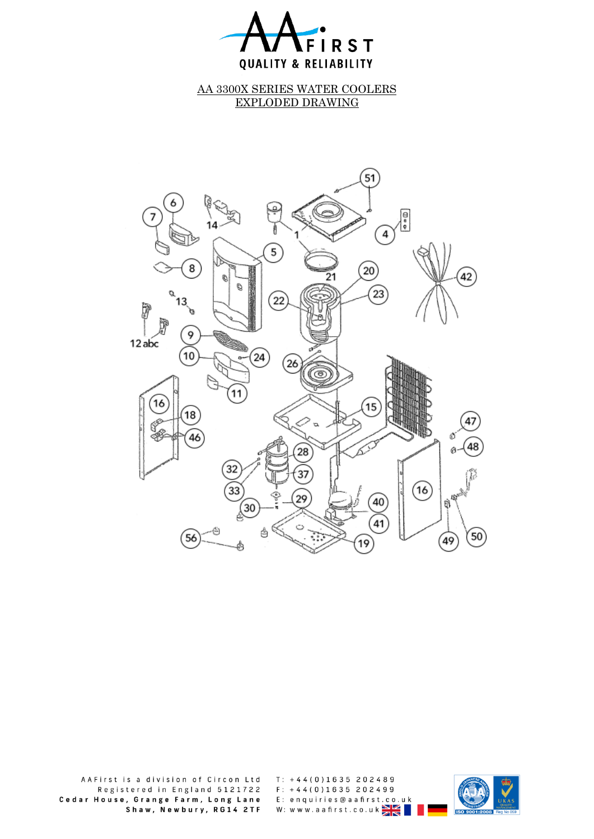

AA 3300X SERIES WATER COOLERS EXPLODED DRAWING



AAFirst is a division of Circon Ltd Registered in England 5121722 Cedar House, Grange Farm, Long Lane Shaw, Newbury, RG14 2TF  $T: +44(0)1635202489$  $F: +44(0)1635202499$ E: enquiries@aafirst.co.uk  $W:$  www.aafirst.co.uk